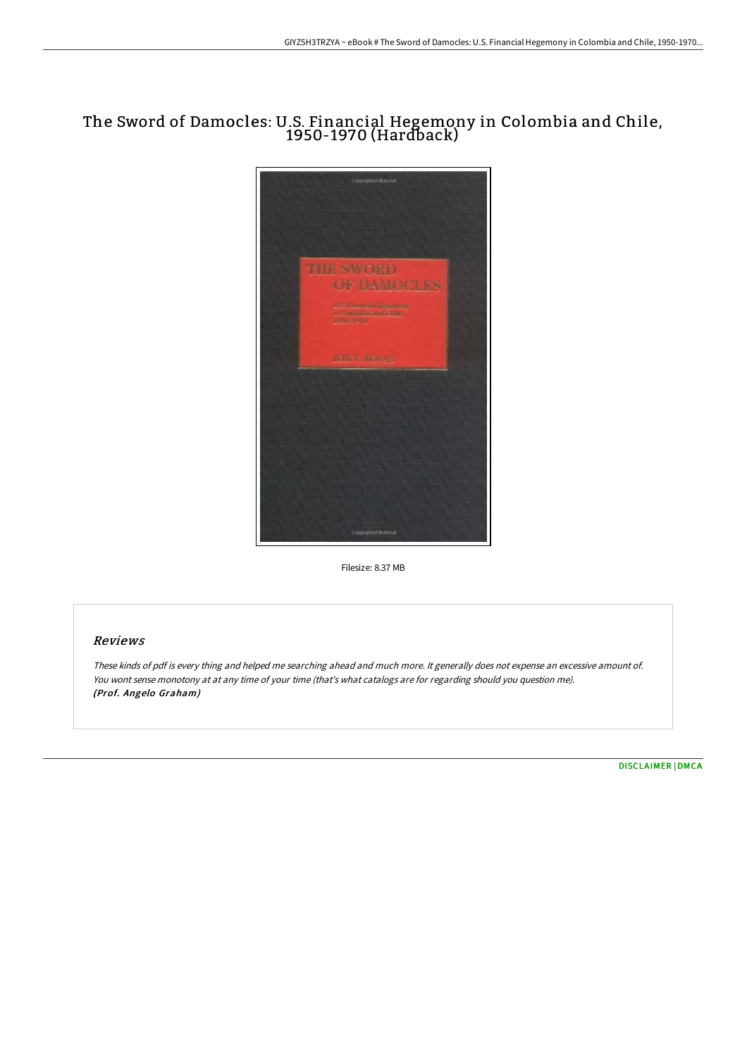# The Sword of Damocles: U.S. Financial Hegemony in Colombia and Chile, 1950-1970 (Hardback)



Filesize: 8.37 MB

### Reviews

These kinds of pdf is every thing and helped me searching ahead and much more. It generally does not expense an excessive amount of. You wont sense monotony at at any time of your time (that's what catalogs are for regarding should you question me). (Prof. Angelo Graham)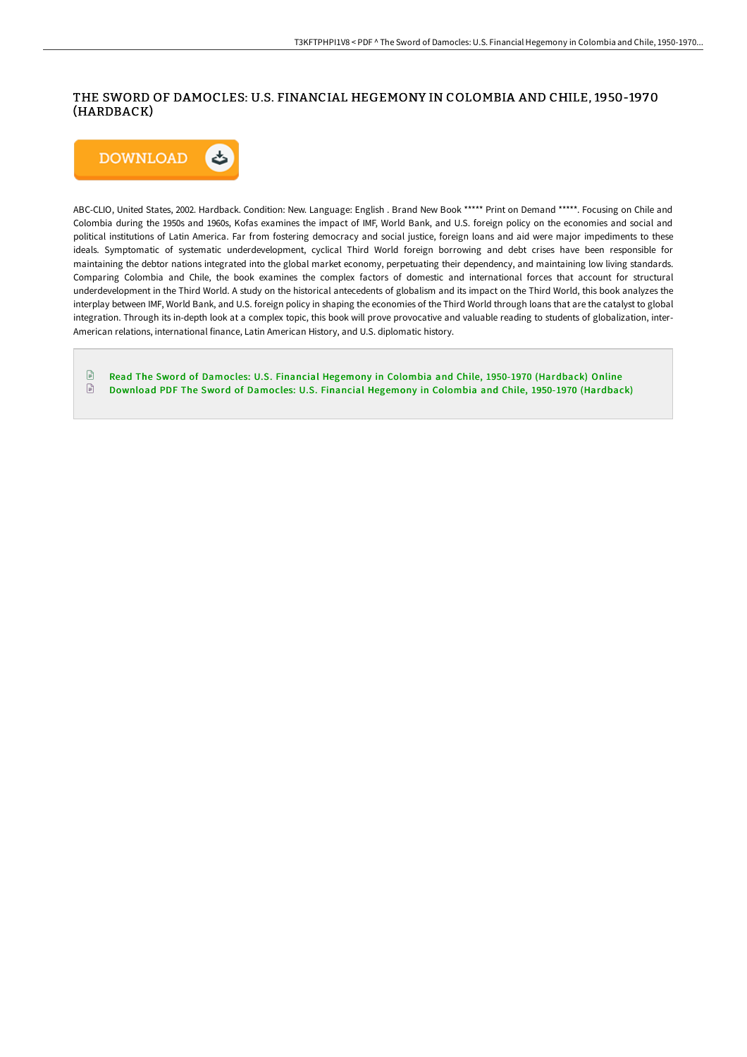## THE SWORD OF DAMOCLES: U.S. FINANCIAL HEGEMONY IN COLOMBIA AND CHILE, 1950-1970 (HARDBACK)



ABC-CLIO, United States, 2002. Hardback. Condition: New. Language: English . Brand New Book \*\*\*\*\* Print on Demand \*\*\*\*\*. Focusing on Chile and Colombia during the 1950s and 1960s, Kofas examines the impact of IMF, World Bank, and U.S. foreign policy on the economies and social and political institutions of Latin America. Far from fostering democracy and social justice, foreign loans and aid were major impediments to these ideals. Symptomatic of systematic underdevelopment, cyclical Third World foreign borrowing and debt crises have been responsible for maintaining the debtor nations integrated into the global market economy, perpetuating their dependency, and maintaining low living standards. Comparing Colombia and Chile, the book examines the complex factors of domestic and international forces that account for structural underdevelopment in the Third World. A study on the historical antecedents of globalism and its impact on the Third World, this book analyzes the interplay between IMF, World Bank, and U.S. foreign policy in shaping the economies of the Third World through loans that are the catalyst to global integration. Through its in-depth look at a complex topic, this book will prove provocative and valuable reading to students of globalization, inter-American relations, international finance, Latin American History, and U.S. diplomatic history.

 $\mathbb B$ Read The Sword of Damocles: U.S. Financial Hegemony in Colombia and Chile, 1950-1970 [\(Hardback\)](http://techno-pub.tech/the-sword-of-damocles-u-s-financial-hegemony-in-.html) Online  $\ensuremath{\boxdot}$ Download PDF The Sword of Damocles: U.S. Financial Hegemony in Colombia and Chile, 1950-1970 [\(Hardback\)](http://techno-pub.tech/the-sword-of-damocles-u-s-financial-hegemony-in-.html)